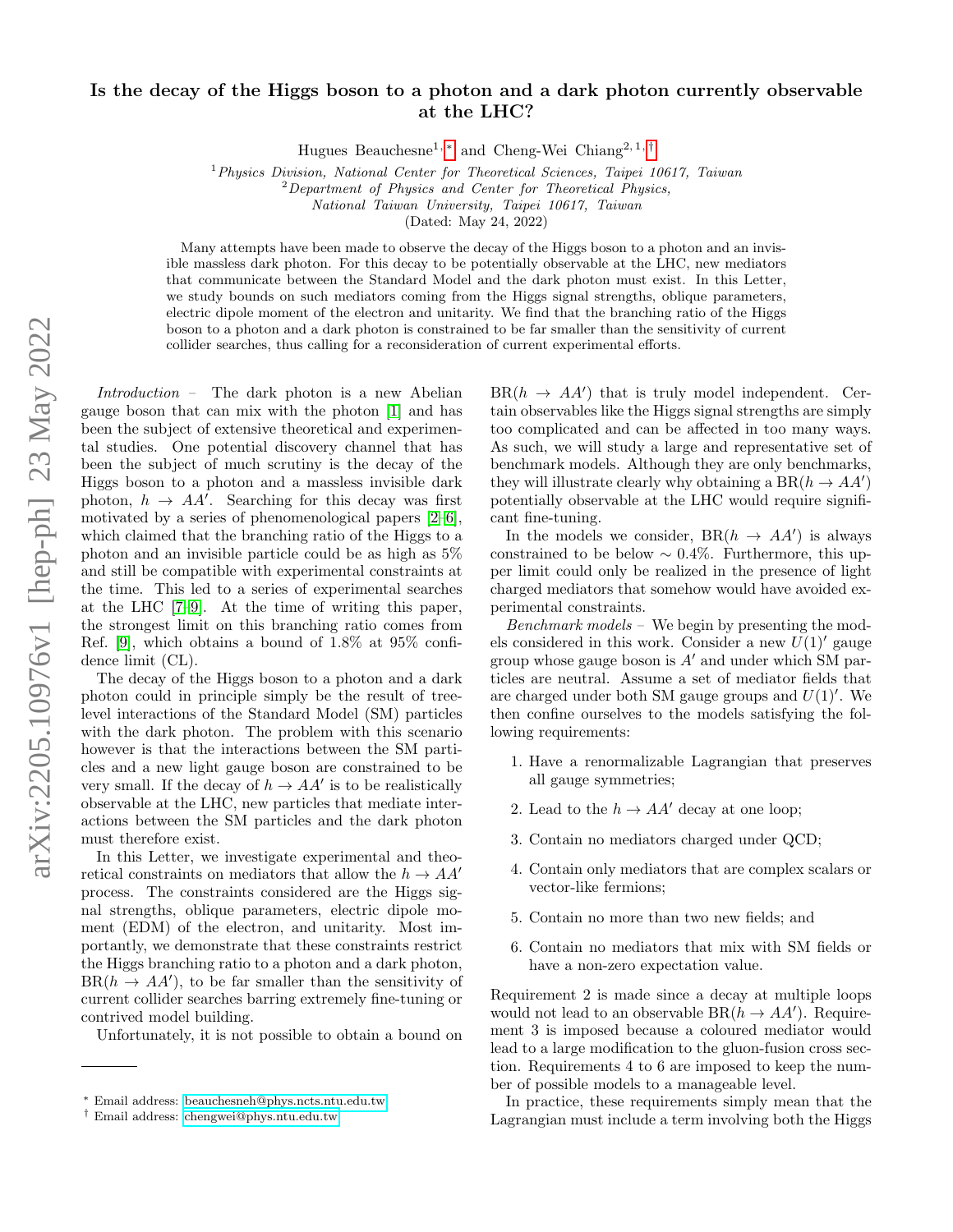## Is the decay of the Higgs boson to a photon and a dark photon currently observable at the LHC?

Hugues Beauchesne<sup>1, [∗](#page-0-0)</sup> and Cheng-Wei Chiang<sup>2, 1,[†](#page-0-1)</sup>

<sup>1</sup> Physics Division, National Center for Theoretical Sciences, Taipei 10617, Taiwan

 ${}^{2}$ Department of Physics and Center for Theoretical Physics,

National Taiwan University, Taipei 10617, Taiwan

(Dated: May 24, 2022)

Many attempts have been made to observe the decay of the Higgs boson to a photon and an invisible massless dark photon. For this decay to be potentially observable at the LHC, new mediators that communicate between the Standard Model and the dark photon must exist. In this Letter, we study bounds on such mediators coming from the Higgs signal strengths, oblique parameters, electric dipole moment of the electron and unitarity. We find that the branching ratio of the Higgs boson to a photon and a dark photon is constrained to be far smaller than the sensitivity of current collider searches, thus calling for a reconsideration of current experimental efforts.

Introduction – The dark photon is a new Abelian gauge boson that can mix with the photon [\[1\]](#page-4-0) and has been the subject of extensive theoretical and experimental studies. One potential discovery channel that has been the subject of much scrutiny is the decay of the Higgs boson to a photon and a massless invisible dark photon,  $h \to AA'$ . Searching for this decay was first motivated by a series of phenomenological papers [\[2–](#page-4-1)[6\]](#page-4-2), which claimed that the branching ratio of the Higgs to a photon and an invisible particle could be as high as 5% and still be compatible with experimental constraints at the time. This led to a series of experimental searches at the LHC [\[7–](#page-4-3)[9\]](#page-4-4). At the time of writing this paper, the strongest limit on this branching ratio comes from Ref. [\[9\]](#page-4-4), which obtains a bound of 1.8% at 95% confidence limit (CL).

The decay of the Higgs boson to a photon and a dark photon could in principle simply be the result of treelevel interactions of the Standard Model (SM) particles with the dark photon. The problem with this scenario however is that the interactions between the SM particles and a new light gauge boson are constrained to be very small. If the decay of  $h \to AA'$  is to be realistically observable at the LHC, new particles that mediate interactions between the SM particles and the dark photon must therefore exist.

In this Letter, we investigate experimental and theoretical constraints on mediators that allow the  $h \to AA'$ process. The constraints considered are the Higgs signal strengths, oblique parameters, electric dipole moment (EDM) of the electron, and unitarity. Most importantly, we demonstrate that these constraints restrict the Higgs branching ratio to a photon and a dark photon,  $BR(h \rightarrow AA')$ , to be far smaller than the sensitivity of current collider searches barring extremely fine-tuning or contrived model building.

Unfortunately, it is not possible to obtain a bound on

 $BR(h \rightarrow AA')$  that is truly model independent. Certain observables like the Higgs signal strengths are simply too complicated and can be affected in too many ways. As such, we will study a large and representative set of benchmark models. Although they are only benchmarks, they will illustrate clearly why obtaining a  $BR(h \to AA')$ potentially observable at the LHC would require significant fine-tuning.

In the models we consider,  $BR(h \to AA')$  is always constrained to be below  $\sim 0.4\%$ . Furthermore, this upper limit could only be realized in the presence of light charged mediators that somehow would have avoided experimental constraints.

Benchmark models – We begin by presenting the models considered in this work. Consider a new  $U(1)$ ' gauge group whose gauge boson is  $A'$  and under which SM particles are neutral. Assume a set of mediator fields that are charged under both SM gauge groups and  $U(1)'$ . We then confine ourselves to the models satisfying the following requirements:

- 1. Have a renormalizable Lagrangian that preserves all gauge symmetries;
- 2. Lead to the  $h \to AA'$  decay at one loop;
- 3. Contain no mediators charged under QCD;
- 4. Contain only mediators that are complex scalars or vector-like fermions;
- 5. Contain no more than two new fields; and
- 6. Contain no mediators that mix with SM fields or have a non-zero expectation value.

Requirement 2 is made since a decay at multiple loops would not lead to an observable  $BR(h \to AA')$ . Requirement 3 is imposed because a coloured mediator would lead to a large modification to the gluon-fusion cross section. Requirements 4 to 6 are imposed to keep the number of possible models to a manageable level.

In practice, these requirements simply mean that the Lagrangian must include a term involving both the Higgs

<span id="page-0-0"></span><sup>∗</sup> Email address: [beauchesneh@phys.ncts.ntu.edu.tw](mailto:beauchesneh@phys.ncts.ntu.edu.tw)

<span id="page-0-1"></span><sup>†</sup> Email address: [chengwei@phys.ntu.edu.tw](mailto:chengwei@phys.ntu.edu.tw)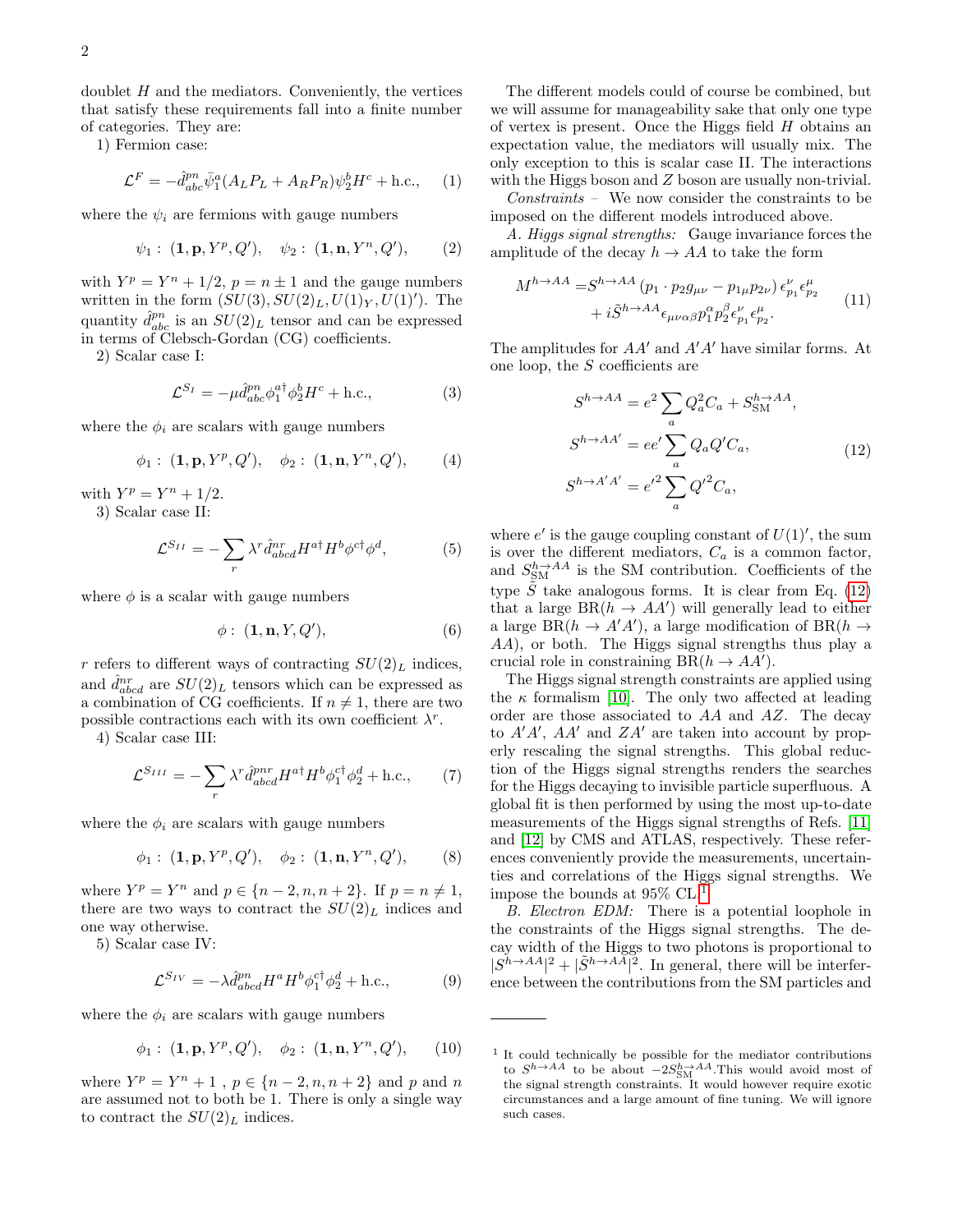doublet  $H$  and the mediators. Conveniently, the vertices that satisfy these requirements fall into a finite number of categories. They are:

1) Fermion case:

<span id="page-1-2"></span>
$$
\mathcal{L}^F = -\hat{d}_{abc}^{pn} \bar{\psi}_1^a (A_L P_L + A_R P_R) \psi_2^b H^c + \text{h.c.}, \quad (1)
$$

where the  $\psi_i$  are fermions with gauge numbers

$$
\psi_1: (\mathbf{1}, \mathbf{p}, Y^p, Q'), \quad \psi_2: (\mathbf{1}, \mathbf{n}, Y^n, Q'),
$$
 (2)

with  $Y^p = Y^n + 1/2$ ,  $p = n \pm 1$  and the gauge numbers written in the form  $(SU(3), SU(2)_L, U(1)_Y, U(1)')$ . The quantity  $\hat{d}_{abc}^{pn}$  is an  $SU(2)_L$  tensor and can be expressed in terms of Clebsch-Gordan (CG) coefficients.

2) Scalar case I:

$$
\mathcal{L}^{S_I} = -\mu \hat{d}^{pn}_{abc} \phi_1^{a\dagger} \phi_2^b H^c + \text{h.c.},\tag{3}
$$

where the  $\phi_i$  are scalars with gauge numbers

$$
\phi_1
$$
:  $(\mathbf{1}, \mathbf{p}, Y^p, Q')$ ,  $\phi_2$ :  $(\mathbf{1}, \mathbf{n}, Y^n, Q')$ , (4)

with  $Y^p = Y^n + 1/2$ .

3) Scalar case II:

<span id="page-1-3"></span>
$$
\mathcal{L}^{S_{II}} = -\sum_{r} \lambda^{r} \hat{d}^{nr}_{abcd} H^{a\dagger} H^{b} \phi^{c\dagger} \phi^{d},\tag{5}
$$

where  $\phi$  is a scalar with gauge numbers

$$
\phi: (\mathbf{1}, \mathbf{n}, Y, Q'), \tag{6}
$$

r refers to different ways of contracting  $SU(2)_L$  indices, and  $\hat{d}_{abcd}^{nr}$  are  $SU(2)_L$  tensors which can be expressed as a combination of CG coefficients. If  $n \neq 1$ , there are two possible contractions each with its own coefficient  $\lambda^r$ .

4) Scalar case III:

<span id="page-1-4"></span>
$$
\mathcal{L}^{S_{III}} = -\sum_{r} \lambda^{r} \hat{d}^{prr}_{abcd} H^{a\dagger} H^{b} \phi_{1}^{c\dagger} \phi_{2}^{d} + \text{h.c.}, \qquad (7)
$$

where the  $\phi_i$  are scalars with gauge numbers

$$
\phi_1: (\mathbf{1}, \mathbf{p}, Y^p, Q'), \quad \phi_2: (\mathbf{1}, \mathbf{n}, Y^n, Q'), \quad (8)
$$

where  $Y^p = Y^n$  and  $p \in \{n-2, n, n+2\}$ . If  $p = n \neq 1$ , there are two ways to contract the  $SU(2)<sub>L</sub>$  indices and one way otherwise.

5) Scalar case IV:

<span id="page-1-5"></span>
$$
\mathcal{L}^{S_{IV}} = -\lambda \hat{d}^{pn}_{abcd} H^a H^b \phi_1^{c\dagger} \phi_2^d + \text{h.c.},\tag{9}
$$

where the  $\phi_i$  are scalars with gauge numbers

$$
\phi_1: (\mathbf{1}, \mathbf{p}, Y^p, Q'), \quad \phi_2: (\mathbf{1}, \mathbf{n}, Y^n, Q'), \quad (10)
$$

where  $Y^p = Y^n + 1$ ,  $p \in \{n-2, n, n+2\}$  and p and n are assumed not to both be 1. There is only a single way to contract the  $SU(2)_L$  indices.

The different models could of course be combined, but we will assume for manageability sake that only one type of vertex is present. Once the Higgs field H obtains an expectation value, the mediators will usually mix. The only exception to this is scalar case II. The interactions with the Higgs boson and Z boson are usually non-trivial.

Constraints – We now consider the constraints to be imposed on the different models introduced above.

A. Higgs signal strengths: Gauge invariance forces the amplitude of the decay  $h \to AA$  to take the form

$$
M^{h \to AA} = S^{h \to AA} (p_1 \cdot p_2 g_{\mu\nu} - p_{1\mu} p_{2\nu}) \epsilon_{p_1}^{\nu} \epsilon_{p_2}^{\mu} + i \tilde{S}^{h \to AA} \epsilon_{\mu\nu\alpha\beta} p_1^{\alpha} p_2^{\beta} \epsilon_{p_1}^{\nu} \epsilon_{p_2}^{\mu}.
$$
 (11)

The amplitudes for  $AA'$  and  $A'A'$  have similar forms. At one loop, the S coefficients are

<span id="page-1-0"></span>
$$
S^{h \to AA} = e^2 \sum_a Q_a^2 C_a + S_{\rm SM}^{h \to AA},
$$
  
\n
$$
S^{h \to AA'} = ee' \sum_a Q_a Q' C_a,
$$
  
\n
$$
S^{h \to A'A'} = e'^2 \sum_a Q'^2 C_a,
$$
\n(12)

where  $e'$  is the gauge coupling constant of  $U(1)'$ , the sum is over the different mediators,  $C_a$  is a common factor, and  $S_{\text{SM}}^{h\to AA}$  is the SM contribution. Coefficients of the type  $\tilde{S}$  take analogous forms. It is clear from Eq. [\(12\)](#page-1-0) that a large  $BR(h \to AA')$  will generally lead to either a large  $BR(h \to A'A')$ , a large modification of  $BR(h \to$ AA), or both. The Higgs signal strengths thus play a crucial role in constraining  $BR(h \to AA')$ .

The Higgs signal strength constraints are applied using the  $\kappa$  formalism [\[10\]](#page-4-5). The only two affected at leading order are those associated to AA and AZ. The decay to  $A'A'$ ,  $AA'$  and  $ZA'$  are taken into account by properly rescaling the signal strengths. This global reduction of the Higgs signal strengths renders the searches for the Higgs decaying to invisible particle superfluous. A global fit is then performed by using the most up-to-date measurements of the Higgs signal strengths of Refs. [\[11\]](#page-4-6) and [\[12\]](#page-4-7) by CMS and ATLAS, respectively. These references conveniently provide the measurements, uncertainties and correlations of the Higgs signal strengths. We impose the bounds at 95% CL.[1](#page-1-1)

B. Electron EDM: There is a potential loophole in the constraints of the Higgs signal strengths. The decay width of the Higgs to two photons is proportional to  $|S^{\hat{h}\to AA}|^2 + |\tilde{S}^{h\to AA}|^2$ . In general, there will be interference between the contributions from the SM particles and

<span id="page-1-1"></span><sup>1</sup> It could technically be possible for the mediator contributions to  $S^{h\to AA}$  to be about  $-2S_{\rm SM}^{h\to AA}$ . This would avoid most of the signal strength constraints. It would however require exotic circumstances and a large amount of fine tuning. We will ignore such cases.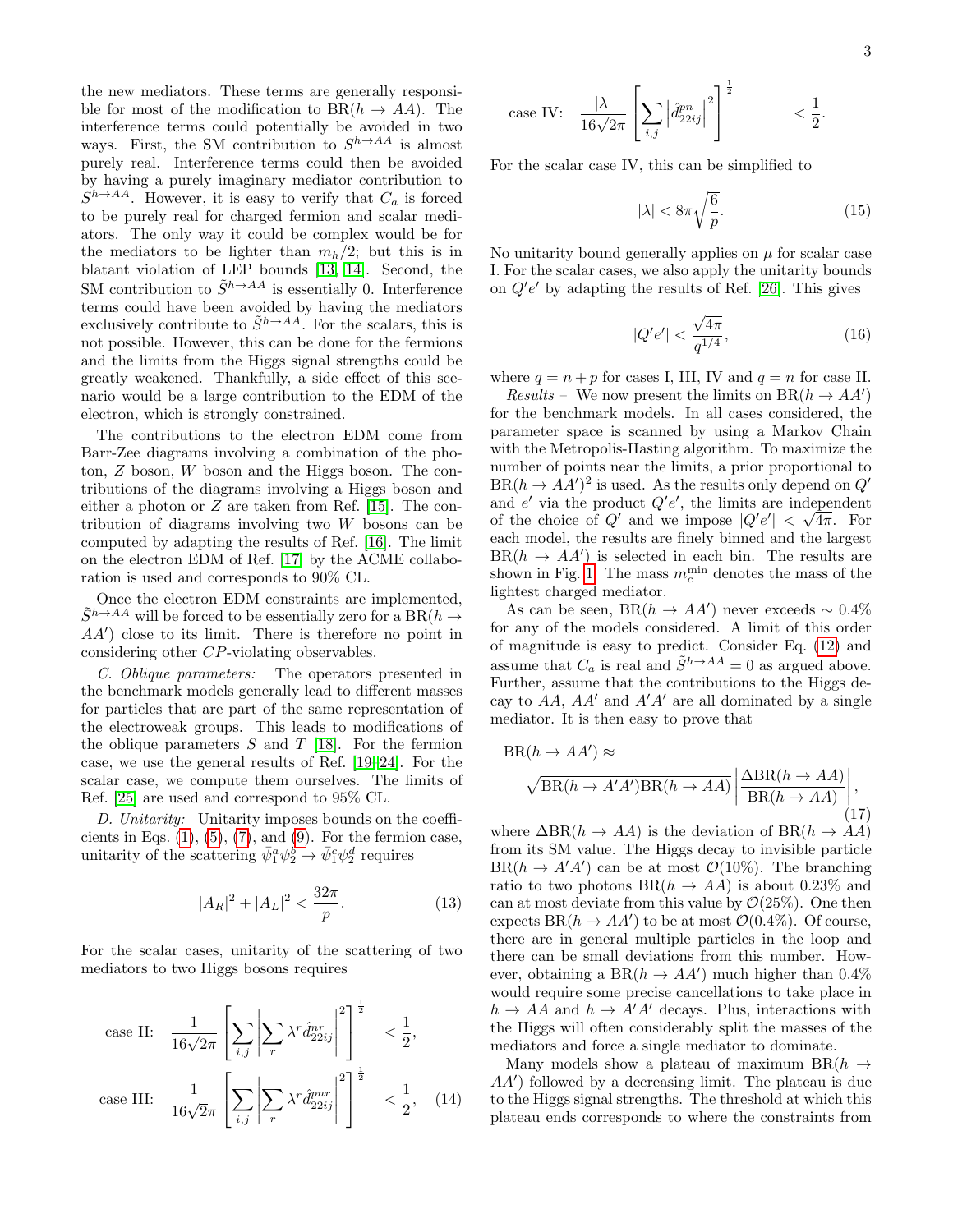the new mediators. These terms are generally responsible for most of the modification to  $BR(h \to AA)$ . The interference terms could potentially be avoided in two ways. First, the SM contribution to  $S^{h\to AA}$  is almost purely real. Interference terms could then be avoided by having a purely imaginary mediator contribution to  $S^{h\to AA}$ . However, it is easy to verify that  $C_a$  is forced to be purely real for charged fermion and scalar mediators. The only way it could be complex would be for the mediators to be lighter than  $m_h/2$ ; but this is in blatant violation of LEP bounds [\[13,](#page-4-8) [14\]](#page-4-9). Second, the SM contribution to  $\tilde{S}^{h\to AA}$  is essentially 0. Interference terms could have been avoided by having the mediators exclusively contribute to  $\tilde{S}^{h\to AA}$ . For the scalars, this is not possible. However, this can be done for the fermions and the limits from the Higgs signal strengths could be greatly weakened. Thankfully, a side effect of this scenario would be a large contribution to the EDM of the electron, which is strongly constrained.

The contributions to the electron EDM come from Barr-Zee diagrams involving a combination of the photon, Z boson, W boson and the Higgs boson. The contributions of the diagrams involving a Higgs boson and either a photon or  $Z$  are taken from Ref. [\[15\]](#page-4-10). The contribution of diagrams involving two W bosons can be computed by adapting the results of Ref. [\[16\]](#page-4-11). The limit on the electron EDM of Ref. [\[17\]](#page-4-12) by the ACME collaboration is used and corresponds to 90% CL.

Once the electron EDM constraints are implemented,  $\tilde{S}^{h\rightarrow AA}$  will be forced to be essentially zero for a  $\mathrm{BR}(h\rightarrow$  $AA'$ ) close to its limit. There is therefore no point in considering other CP-violating observables.

C. Oblique parameters: The operators presented in the benchmark models generally lead to different masses for particles that are part of the same representation of the electroweak groups. This leads to modifications of the oblique parameters  $S$  and  $T$  [\[18\]](#page-4-13). For the fermion case, we use the general results of Ref. [\[19–](#page-4-14)[24\]](#page-5-0). For the scalar case, we compute them ourselves. The limits of Ref. [\[25\]](#page-5-1) are used and correspond to 95% CL.

D. Unitarity: Unitarity imposes bounds on the coefficients in Eqs.  $(1), (5), (7),$  $(1), (5), (7),$  $(1), (5), (7),$  $(1), (5), (7),$  $(1), (5), (7),$  $(1), (5), (7),$  and  $(9)$ . For the fermion case, unitarity of the scattering  $\bar{\psi}_1^a \psi_2^{\dot{b}} \rightarrow \bar{\psi}_1^c \psi_2^d$  requires

$$
|A_R|^2 + |A_L|^2 < \frac{32\pi}{p}.\tag{13}
$$

For the scalar cases, unitarity of the scattering of two mediators to two Higgs bosons requires

case II: 
$$
\frac{1}{16\sqrt{2}\pi} \left[ \sum_{i,j} \left| \sum_r \lambda^r \hat{d}_{22ij}^{nr} \right|^2 \right]^{\frac{1}{2}} < \frac{1}{2},
$$
  
case III: 
$$
\frac{1}{16\sqrt{2}\pi} \left[ \sum_{i,j} \left| \sum_r \lambda^r \hat{d}_{22ij}^{pnr} \right|^2 \right]^{\frac{1}{2}} < \frac{1}{2}, \quad (14)
$$

case IV: 
$$
\frac{|\lambda|}{16\sqrt{2}\pi} \left[ \sum_{i,j} \left| \hat{d}_{22ij}^{pn} \right|^2 \right]^{\frac{1}{2}} \qquad < \frac{1}{2}.
$$

For the scalar case IV, this can be simplified to

$$
|\lambda| < 8\pi \sqrt{\frac{6}{p}}.\tag{15}
$$

No unitarity bound generally applies on  $\mu$  for scalar case I. For the scalar cases, we also apply the unitarity bounds on  $Q'e'$  by adapting the results of Ref. [\[26\]](#page-5-2). This gives

$$
|Q'e'| < \frac{\sqrt{4\pi}}{q^{1/4}},\tag{16}
$$

where  $q = n + p$  for cases I, III, IV and  $q = n$  for case II.

Results – We now present the limits on  $BR(h \to AA')$ for the benchmark models. In all cases considered, the parameter space is scanned by using a Markov Chain with the Metropolis-Hasting algorithm. To maximize the number of points near the limits, a prior proportional to  $BR(h \to AA')^2$  is used. As the results only depend on  $Q'$ and  $e'$  via the product  $Q'e'$ , the limits are independent of the choice of  $Q'$  and we impose  $|Q'e'| < \sqrt{4\pi}$ . For each model, the results are finely binned and the largest  $BR(h \to AA')$  is selected in each bin. The results are shown in Fig. [1.](#page-3-0) The mass  $m_c^{\text{min}}$  denotes the mass of the lightest charged mediator.

As can be seen,  $BR(h \to AA')$  never exceeds ~ 0.4% for any of the models considered. A limit of this order of magnitude is easy to predict. Consider Eq. [\(12\)](#page-1-0) and assume that  $C_a$  is real and  $\tilde{S}^{h\to AA} = 0$  as argued above. Further, assume that the contributions to the Higgs decay to  $AA$ ,  $AA'$  and  $A'A'$  are all dominated by a single mediator. It is then easy to prove that

$$
BR(h \to AA') \approx \sqrt{BR(h \to A'A')BR(h \to AA)} \left| \frac{\Delta BR(h \to AA)}{BR(h \to AA)} \right|,
$$
\n(17)

where  $\Delta BR(h \to AA)$  is the deviation of  $BR(h \to AA)$ from its SM value. The Higgs decay to invisible particle  $BR(h \to A'A')$  can be at most  $\mathcal{O}(10\%)$ . The branching ratio to two photons  $BR(h \to AA)$  is about 0.23\% and can at most deviate from this value by  $\mathcal{O}(25\%)$ . One then expects  $BR(h \to AA')$  to be at most  $\mathcal{O}(0.4\%)$ . Of course, there are in general multiple particles in the loop and there can be small deviations from this number. However, obtaining a BR $(h \to AA')$  much higher than 0.4% would require some precise cancellations to take place in  $h \to AA$  and  $h \to A'A'$  decays. Plus, interactions with the Higgs will often considerably split the masses of the mediators and force a single mediator to dominate.

Many models show a plateau of maximum BR $(h \rightarrow$  $AA'$ ) followed by a decreasing limit. The plateau is due to the Higgs signal strengths. The threshold at which this plateau ends corresponds to where the constraints from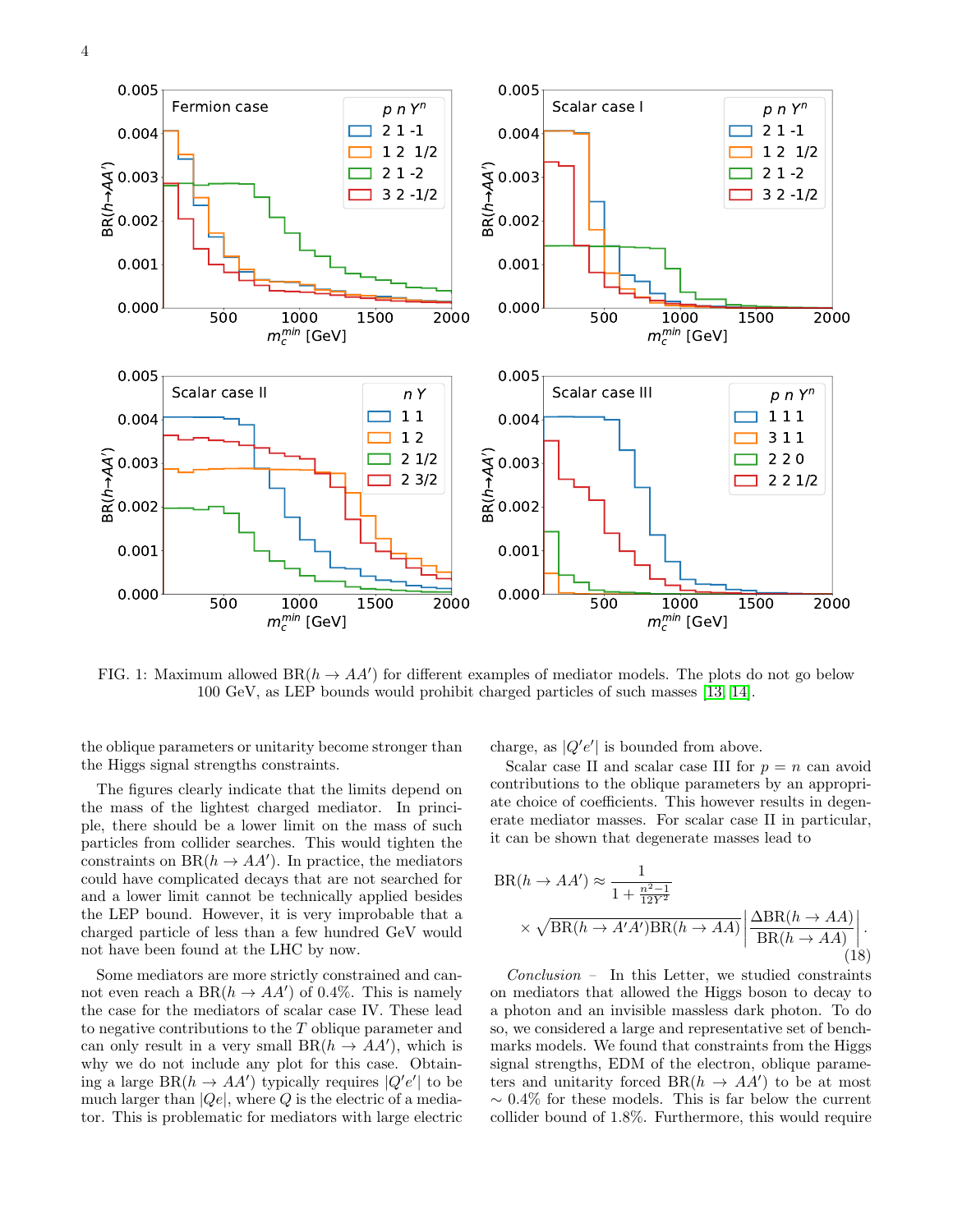<span id="page-3-0"></span>

FIG. 1: Maximum allowed  $BR(h \to AA')$  for different examples of mediator models. The plots do not go below 100 GeV, as LEP bounds would prohibit charged particles of such masses [\[13,](#page-4-8) [14\]](#page-4-9).

the oblique parameters or unitarity become stronger than the Higgs signal strengths constraints.

The figures clearly indicate that the limits depend on the mass of the lightest charged mediator. In principle, there should be a lower limit on the mass of such particles from collider searches. This would tighten the constraints on  $BR(h \to AA')$ . In practice, the mediators could have complicated decays that are not searched for and a lower limit cannot be technically applied besides the LEP bound. However, it is very improbable that a charged particle of less than a few hundred GeV would not have been found at the LHC by now.

Some mediators are more strictly constrained and cannot even reach a  $BR(h \to AA')$  of 0.4%. This is namely the case for the mediators of scalar case IV. These lead to negative contributions to the T oblique parameter and can only result in a very small  $BR(h \to AA')$ , which is why we do not include any plot for this case. Obtaining a large  $BR(h \to AA')$  typically requires  $|Q'e'|$  to be much larger than  $|Qe|$ , where Q is the electric of a mediator. This is problematic for mediators with large electric charge, as  $|Q'e'|$  is bounded from above.

Scalar case II and scalar case III for  $p = n$  can avoid contributions to the oblique parameters by an appropriate choice of coefficients. This however results in degenerate mediator masses. For scalar case II in particular, it can be shown that degenerate masses lead to

$$
BR(h \to AA') \approx \frac{1}{1 + \frac{n^2 - 1}{12Y^2}} \times \sqrt{BR(h \to A'A')BR(h \to AA)} \left| \frac{\Delta BR(h \to AA)}{BR(h \to AA)} \right|.
$$
\n(18)

Conclusion – In this Letter, we studied constraints on mediators that allowed the Higgs boson to decay to a photon and an invisible massless dark photon. To do so, we considered a large and representative set of benchmarks models. We found that constraints from the Higgs signal strengths, EDM of the electron, oblique parameters and unitarity forced  $BR(h \to AA')$  to be at most  $\sim 0.4\%$  for these models. This is far below the current collider bound of 1.8%. Furthermore, this would require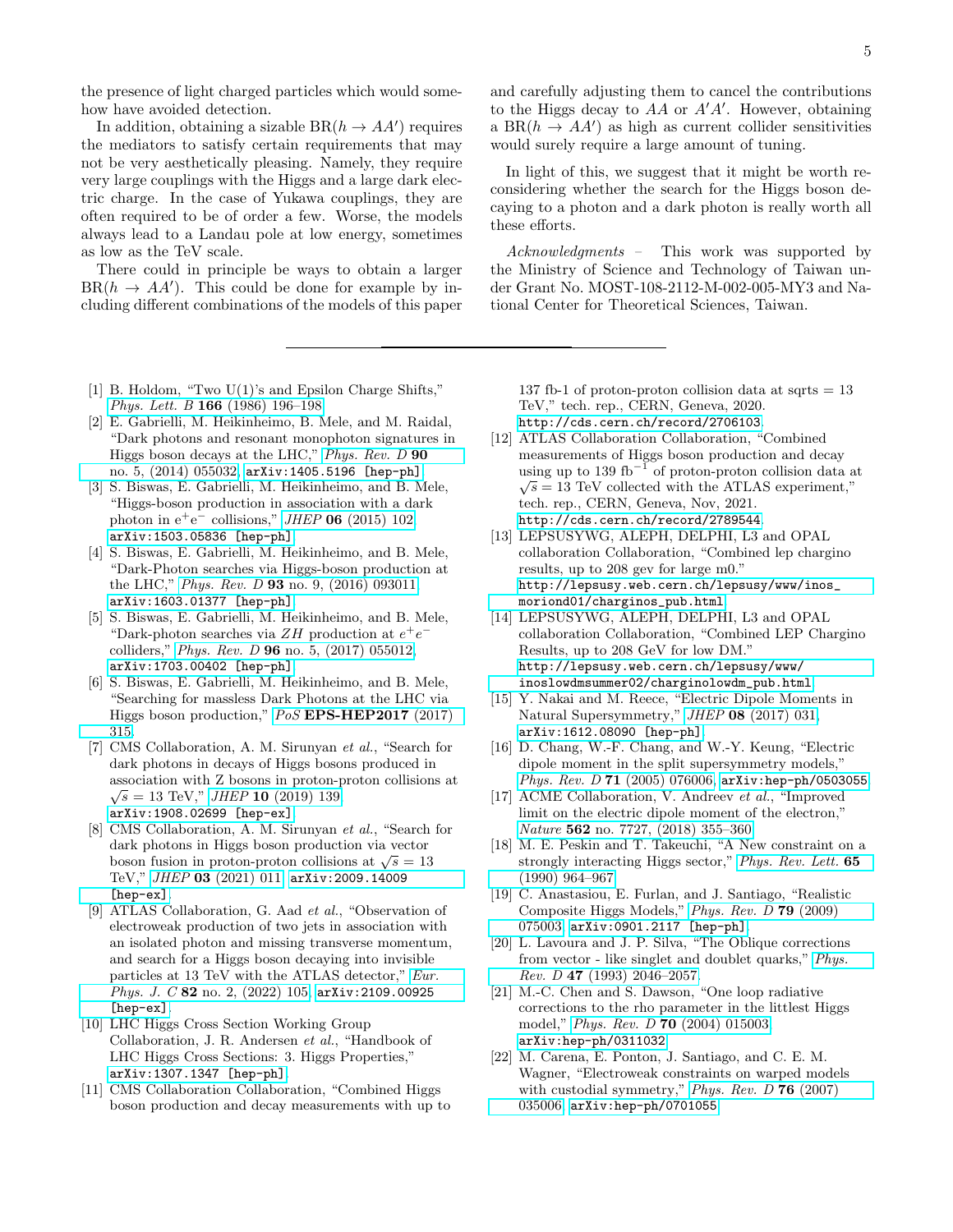the presence of light charged particles which would somehow have avoided detection.

In addition, obtaining a sizable  $BR(h \to AA')$  requires the mediators to satisfy certain requirements that may not be very aesthetically pleasing. Namely, they require very large couplings with the Higgs and a large dark electric charge. In the case of Yukawa couplings, they are often required to be of order a few. Worse, the models always lead to a Landau pole at low energy, sometimes as low as the TeV scale.

There could in principle be ways to obtain a larger  $BR(h \rightarrow AA')$ . This could be done for example by including different combinations of the models of this paper

- <span id="page-4-0"></span>[1] B. Holdom, "Two U(1)'s and Epsilon Charge Shifts," Phys. Lett. B 166 [\(1986\) 196–198.](http://dx.doi.org/10.1016/0370-2693(86)91377-8)
- <span id="page-4-1"></span>[2] E. Gabrielli, M. Heikinheimo, B. Mele, and M. Raidal, "Dark photons and resonant monophoton signatures in Higgs boson decays at the LHC," [Phys. Rev. D](http://dx.doi.org/10.1103/PhysRevD.90.055032) 90 [no. 5, \(2014\) 055032,](http://dx.doi.org/10.1103/PhysRevD.90.055032) [arXiv:1405.5196 \[hep-ph\]](http://arxiv.org/abs/1405.5196).
- [3] S. Biswas, E. Gabrielli, M. Heikinheimo, and B. Mele, "Higgs-boson production in association with a dark photon in  $e^+e^-$  collisions," JHEP 06 [\(2015\) 102,](http://dx.doi.org/10.1007/JHEP06(2015)102) [arXiv:1503.05836 \[hep-ph\]](http://arxiv.org/abs/1503.05836).
- [4] S. Biswas, E. Gabrielli, M. Heikinheimo, and B. Mele, "Dark-Photon searches via Higgs-boson production at the LHC," Phys. Rev. D 93 [no. 9, \(2016\) 093011,](http://dx.doi.org/10.1103/PhysRevD.93.093011) [arXiv:1603.01377 \[hep-ph\]](http://arxiv.org/abs/1603.01377).
- [5] S. Biswas, E. Gabrielli, M. Heikinheimo, and B. Mele, "Dark-photon searches via  $ZH$  production at  $e^+e^$ colliders," Phys. Rev. D 96 [no. 5, \(2017\) 055012,](http://dx.doi.org/10.1103/PhysRevD.96.055012) [arXiv:1703.00402 \[hep-ph\]](http://arxiv.org/abs/1703.00402).
- <span id="page-4-2"></span>[6] S. Biswas, E. Gabrielli, M. Heikinheimo, and B. Mele, "Searching for massless Dark Photons at the LHC via Higgs boson production," PoS [EPS-HEP2017](http://dx.doi.org/10.22323/1.314.0315) (2017) [315.](http://dx.doi.org/10.22323/1.314.0315)
- <span id="page-4-3"></span>[7] CMS Collaboration, A. M. Sirunyan et al., "Search for dark photons in decays of Higgs bosons produced in association with Z bosons in proton-proton collisions at  $\overline{C} = 19 \text{ T} \text{V} \text{W}$   $H \overline{H} \Omega (2010) 199$  $\sqrt{s} = 13$  TeV," *JHEP* **10** [\(2019\) 139,](http://dx.doi.org/10.1007/JHEP10(2019)139) [arXiv:1908.02699 \[hep-ex\]](http://arxiv.org/abs/1908.02699).
- [8] CMS Collaboration, A. M. Sirunyan et al., "Search for dark photons in Higgs boson production via vector dark photons in riggs boson production via vector<br>boson fusion in proton-proton collisions at  $\sqrt{s} = 13$ TeV," JHEP 03 [\(2021\) 011,](http://dx.doi.org/10.1007/JHEP03(2021)011) [arXiv:2009.14009](http://arxiv.org/abs/2009.14009) [\[hep-ex\]](http://arxiv.org/abs/2009.14009).
- <span id="page-4-4"></span>[9] ATLAS Collaboration, G. Aad et al., "Observation of electroweak production of two jets in association with an isolated photon and missing transverse momentum, and search for a Higgs boson decaying into invisible particles at 13 TeV with the ATLAS detector," [Eur.](http://dx.doi.org/10.1140/epjc/s10052-021-09878-z) Phys. J. C 82 [no. 2, \(2022\) 105,](http://dx.doi.org/10.1140/epjc/s10052-021-09878-z) [arXiv:2109.00925](http://arxiv.org/abs/2109.00925) [\[hep-ex\]](http://arxiv.org/abs/2109.00925).
- <span id="page-4-5"></span>[10] LHC Higgs Cross Section Working Group Collaboration, J. R. Andersen et al., "Handbook of LHC Higgs Cross Sections: 3. Higgs Properties," [arXiv:1307.1347 \[hep-ph\]](http://arxiv.org/abs/1307.1347).
- <span id="page-4-6"></span>[11] CMS Collaboration Collaboration, "Combined Higgs boson production and decay measurements with up to

and carefully adjusting them to cancel the contributions to the Higgs decay to  $AA$  or  $A'A'$ . However, obtaining a  $BR(h \to AA')$  as high as current collider sensitivities would surely require a large amount of tuning.

In light of this, we suggest that it might be worth reconsidering whether the search for the Higgs boson decaying to a photon and a dark photon is really worth all these efforts.

Acknowledgments - This work was supported by the Ministry of Science and Technology of Taiwan under Grant No. MOST-108-2112-M-002-005-MY3 and National Center for Theoretical Sciences, Taiwan.

137 fb-1 of proton-proton collision data at sqrts  $= 13$ TeV," tech. rep., CERN, Geneva, 2020. <http://cds.cern.ch/record/2706103>.

- <span id="page-4-7"></span>[12] ATLAS Collaboration Collaboration, "Combined measurements of Higgs boson production and decay using up to 139 fb<sup>-1</sup> of proton-proton collision data at  $\sqrt{s} = 13$  TeV collected with the ATLAS experiment," tech. rep., CERN, Geneva, Nov, 2021. <http://cds.cern.ch/record/2789544>.
- <span id="page-4-8"></span>[13] LEPSUSYWG, ALEPH, DELPHI, L3 and OPAL collaboration Collaboration, "Combined lep chargino results, up to 208 gev for large m0." [http://lepsusy.web.cern.ch/lepsusy/www/inos\\_](http://lepsusy.web.cern.ch/lepsusy/www/inos_moriond01/charginos_pub.html) [moriond01/charginos\\_pub.html](http://lepsusy.web.cern.ch/lepsusy/www/inos_moriond01/charginos_pub.html).
- <span id="page-4-9"></span>[14] LEPSUSYWG, ALEPH, DELPHI, L3 and OPAL collaboration Collaboration, "Combined LEP Chargino Results, up to 208 GeV for low DM." [http://lepsusy.web.cern.ch/lepsusy/www/](http://lepsusy.web.cern.ch/lepsusy/www/inoslowdmsummer02/charginolowdm_pub.html) [inoslowdmsummer02/charginolowdm\\_pub.html](http://lepsusy.web.cern.ch/lepsusy/www/inoslowdmsummer02/charginolowdm_pub.html).
- <span id="page-4-10"></span>[15] Y. Nakai and M. Reece, "Electric Dipole Moments in Natural Supersymmetry," JHEP 08 [\(2017\) 031,](http://dx.doi.org/10.1007/JHEP08(2017)031) [arXiv:1612.08090 \[hep-ph\]](http://arxiv.org/abs/1612.08090).
- <span id="page-4-11"></span>[16] D. Chang, W.-F. Chang, and W.-Y. Keung, "Electric dipole moment in the split supersymmetry models," Phys. Rev. D 71 [\(2005\) 076006,](http://dx.doi.org/10.1103/PhysRevD.71.076006) [arXiv:hep-ph/0503055](http://arxiv.org/abs/hep-ph/0503055).
- <span id="page-4-12"></span>[17] ACME Collaboration, V. Andreev et al., "Improved limit on the electric dipole moment of the electron," Nature 562 no. 7727, (2018) 355-360.
- <span id="page-4-13"></span>[18] M. E. Peskin and T. Takeuchi, "A New constraint on a strongly interacting Higgs sector," [Phys. Rev. Lett.](http://dx.doi.org/10.1103/PhysRevLett.65.964) 65 [\(1990\) 964–967.](http://dx.doi.org/10.1103/PhysRevLett.65.964)
- <span id="page-4-14"></span>[19] C. Anastasiou, E. Furlan, and J. Santiago, "Realistic Composite Higgs Models," [Phys. Rev. D](http://dx.doi.org/10.1103/PhysRevD.79.075003) 79 (2009) [075003,](http://dx.doi.org/10.1103/PhysRevD.79.075003) [arXiv:0901.2117 \[hep-ph\]](http://arxiv.org/abs/0901.2117).
- [20] L. Lavoura and J. P. Silva, "The Oblique corrections from vector - like singlet and doublet quarks," [Phys.](http://dx.doi.org/10.1103/PhysRevD.47.2046) Rev. D 47 (1993) 2046-2057.
- [21] M.-C. Chen and S. Dawson, "One loop radiative corrections to the rho parameter in the littlest Higgs model," Phys. Rev. D 70 [\(2004\) 015003,](http://dx.doi.org/10.1103/PhysRevD.70.015003) [arXiv:hep-ph/0311032](http://arxiv.org/abs/hep-ph/0311032).
- [22] M. Carena, E. Ponton, J. Santiago, and C. E. M. Wagner, "Electroweak constraints on warped models with custodial symmetry," Phys. Rev.  $D$  76 (2007) [035006,](http://dx.doi.org/10.1103/PhysRevD.76.035006) [arXiv:hep-ph/0701055](http://arxiv.org/abs/hep-ph/0701055).